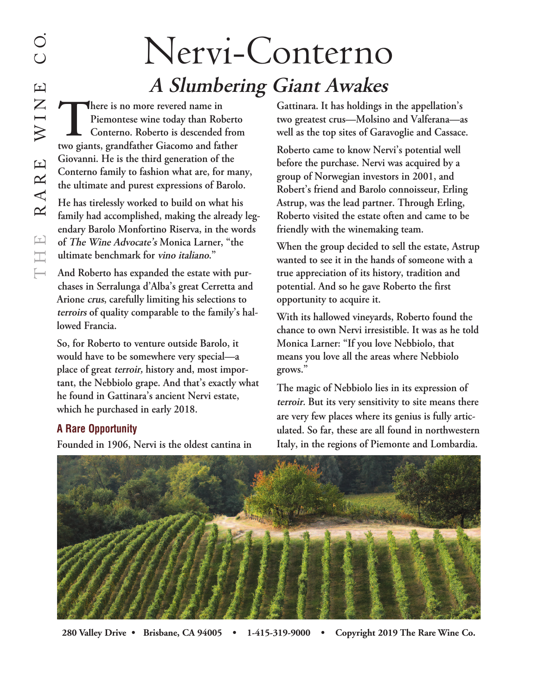## Nervi-Conterno **<sup>A</sup> Slumbering Giant Awakes**

**There** is no more revered name in<br>Piemontese wine today than Rol<br>Conterno. Roberto is descended<br>two giants. grandfather Giacomo and fai **Piemontese wine today than Roberto Conterno. Roberto is descended from two giants, grandfather Giacomo and father Giovanni. He is the third generation of the Conterno family to fashion what are, for many, the ultimate and purest expressions of Barolo.**

**He has tirelessly worked to build on what his family had accomplished, making the already legendary Barolo Monfortino Riserva, in the words of The Wine Advocate's Monica Larner, "the ultimate benchmark for vino italiano."**

**And Roberto has expanded the estate with purchases in Serralunga d'Alba's great Cerretta and Arione crus, carefully limiting his selections to terroirs of quality comparable to the family's hallowed Francia.**

**So, for Roberto to venture outside Barolo, it would have to be somewhere very special—a place of great terroir, history and, most important, the Nebbiolo grape. And that's exactly what he found in Gattinara's ancient Nervi estate, which he purchased in early 2018.**

## **A Rare Opportunity**

**Founded in 1906, Nervi is the oldest cantina in**

**Gattinara. It has holdings in the appellation's two greatest crus—Molsino and Valferana—as well as the top sites of Garavoglie and Cassace.**

**Roberto came to know Nervi's potential well before the purchase. Nervi was acquired by a group of Norwegian investors in 2001, and Robert's friend and Barolo connoisseur, Erling Astrup, was the lead partner. Through Erling, Roberto visited the estate often and came to be friendly with the winemaking team.**

**When the group decided to sell the estate, Astrup wanted to see it in the hands of someone with a true appreciation of its history, tradition and potential. And so he gave Roberto the first opportunity to acquire it.**

**With its hallowed vineyards, Roberto found the chance to own Nervi irresistible. It was as he told Monica Larner: "If you love Nebbiolo, that means you love all the areas where Nebbiolo grows."**

**The magic of Nebbiolo lies in its expression of terroir. But its very sensitivity to site means there are very few places where its genius is fully articulated. So far, these are all found in northwestern Italy, in the regions of Piemonte and Lombardia.**



**280 Valley Drive • Brisbane, CA 94005 • 1-415-319-9000 • Copyright 2019 The Rare Wine Co.**